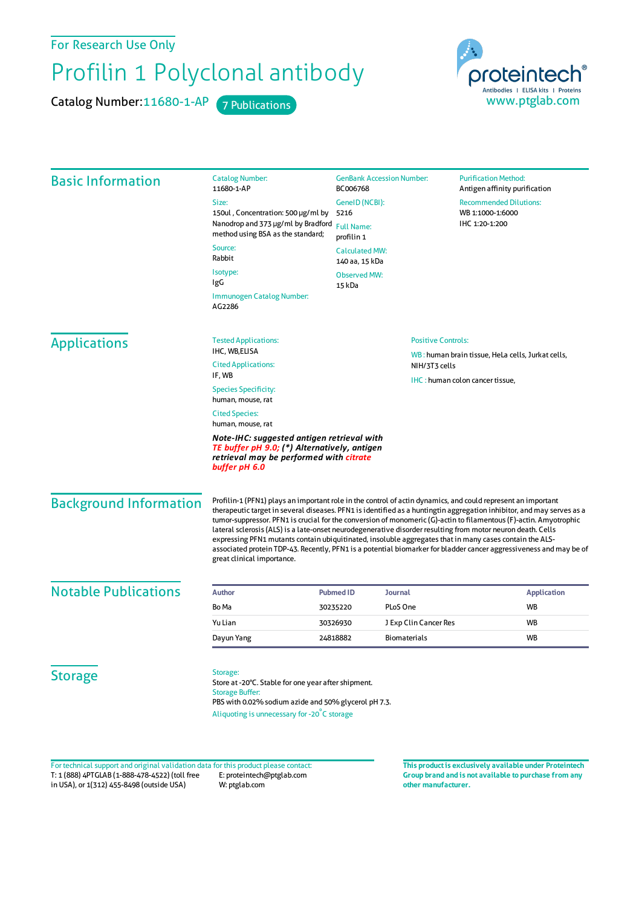For Research Use Only

## Profilin 1 Polyclonal antibody

Catalog Number: 11680-1-AP 7 Publications



| <b>Basic Information</b>      | <b>Catalog Number:</b><br>11680-1-AP                                                                                                                                                                                                                                                                                                                                                                                                                                                                                                                                                                                                                                                                                                     | <b>GenBank Accession Number:</b><br>BC006768             |                                 | <b>Purification Method:</b><br>Antigen affinity purification |                          |  |
|-------------------------------|------------------------------------------------------------------------------------------------------------------------------------------------------------------------------------------------------------------------------------------------------------------------------------------------------------------------------------------------------------------------------------------------------------------------------------------------------------------------------------------------------------------------------------------------------------------------------------------------------------------------------------------------------------------------------------------------------------------------------------------|----------------------------------------------------------|---------------------------------|--------------------------------------------------------------|--------------------------|--|
|                               | Size:                                                                                                                                                                                                                                                                                                                                                                                                                                                                                                                                                                                                                                                                                                                                    | GenelD (NCBI):                                           |                                 | <b>Recommended Dilutions:</b>                                |                          |  |
|                               | 150ul, Concentration: 500 µg/ml by                                                                                                                                                                                                                                                                                                                                                                                                                                                                                                                                                                                                                                                                                                       | 5216                                                     |                                 | WB 1:1000-1:6000                                             |                          |  |
|                               | Nanodrop and 373 µg/ml by Bradford<br>method using BSA as the standard;                                                                                                                                                                                                                                                                                                                                                                                                                                                                                                                                                                                                                                                                  | <b>Full Name:</b><br>profilin 1<br><b>Calculated MW:</b> |                                 | IHC 1:20-1:200                                               |                          |  |
|                               | Source:                                                                                                                                                                                                                                                                                                                                                                                                                                                                                                                                                                                                                                                                                                                                  |                                                          |                                 |                                                              |                          |  |
|                               | Rabbit                                                                                                                                                                                                                                                                                                                                                                                                                                                                                                                                                                                                                                                                                                                                   | 140 aa, 15 kDa                                           |                                 |                                                              |                          |  |
|                               | Isotype:<br>IgG                                                                                                                                                                                                                                                                                                                                                                                                                                                                                                                                                                                                                                                                                                                          | <b>Observed MW:</b>                                      | 15 kDa                          |                                                              |                          |  |
|                               | Immunogen Catalog Number:<br>AG2286                                                                                                                                                                                                                                                                                                                                                                                                                                                                                                                                                                                                                                                                                                      |                                                          |                                 |                                                              |                          |  |
| <b>Applications</b>           | <b>Tested Applications:</b>                                                                                                                                                                                                                                                                                                                                                                                                                                                                                                                                                                                                                                                                                                              | <b>Positive Controls:</b>                                |                                 |                                                              |                          |  |
|                               | IHC, WB,ELISA<br><b>Cited Applications:</b>                                                                                                                                                                                                                                                                                                                                                                                                                                                                                                                                                                                                                                                                                              |                                                          | NIH/3T3 cells                   | WB: human brain tissue, HeLa cells, Jurkat cells,            |                          |  |
|                               | IF, WB                                                                                                                                                                                                                                                                                                                                                                                                                                                                                                                                                                                                                                                                                                                                   |                                                          | IHC: human colon cancer tissue, |                                                              |                          |  |
|                               | <b>Species Specificity:</b><br>human, mouse, rat                                                                                                                                                                                                                                                                                                                                                                                                                                                                                                                                                                                                                                                                                         |                                                          |                                 |                                                              |                          |  |
|                               | <b>Cited Species:</b><br>human, mouse, rat                                                                                                                                                                                                                                                                                                                                                                                                                                                                                                                                                                                                                                                                                               |                                                          |                                 |                                                              |                          |  |
|                               | Note-IHC: suggested antigen retrieval with<br>TE buffer pH 9.0; (*) Alternatively, antigen<br>retrieval may be performed with citrate<br>buffer pH 6.0                                                                                                                                                                                                                                                                                                                                                                                                                                                                                                                                                                                   |                                                          |                                 |                                                              |                          |  |
| <b>Background Information</b> | Profilin-1 (PFN1) plays an important role in the control of actin dynamics, and could represent an important<br>therapeutic target in several diseases. PFN1 is identified as a huntingtin aggregation inhibitor, and may serves as a<br>tumor-suppressor. PFN1 is crucial for the conversion of monomeric (G)-actin to filamentous (F)-actin. Amyotrophic<br>lateral sclerosis (ALS) is a late-onset neurodegenerative disorder resulting from motor neuron death. Cells<br>expressing PFN1 mutants contain ubiquitinated, insoluble aggregates that in many cases contain the ALS-<br>associated protein TDP-43. Recently, PFN1 is a potential biomarker for bladder cancer aggressiveness and may be of<br>great clinical importance. |                                                          |                                 |                                                              |                          |  |
| <b>Notable Publications</b>   | <b>Author</b>                                                                                                                                                                                                                                                                                                                                                                                                                                                                                                                                                                                                                                                                                                                            | Journal                                                  |                                 |                                                              |                          |  |
|                               | Bo Ma                                                                                                                                                                                                                                                                                                                                                                                                                                                                                                                                                                                                                                                                                                                                    | <b>Pubmed ID</b><br>PLoS One<br>30235220                 |                                 |                                                              | <b>Application</b><br>WB |  |
|                               | Yu Lian                                                                                                                                                                                                                                                                                                                                                                                                                                                                                                                                                                                                                                                                                                                                  | 30326930                                                 | J Exp Clin Cancer Res           |                                                              | WB                       |  |
|                               | Dayun Yang                                                                                                                                                                                                                                                                                                                                                                                                                                                                                                                                                                                                                                                                                                                               | 24818882                                                 | Biomaterials                    |                                                              | <b>WB</b>                |  |
| <b>Storage</b>                | Storage:<br>Store at -20°C. Stable for one year after shipment.<br><b>Storage Buffer:</b><br>PBS with 0.02% sodium azide and 50% glycerol pH 7.3.<br>Aliquoting is unnecessary for -20°C storage                                                                                                                                                                                                                                                                                                                                                                                                                                                                                                                                         |                                                          |                                 |                                                              |                          |  |

T: 1 (888) 4PTGLAB (1-888-478-4522) (toll free in USA), or 1(312) 455-8498 (outside USA) E: proteintech@ptglab.com W: ptglab.com Fortechnical support and original validation data forthis product please contact: **This productis exclusively available under Proteintech**

**Group brand and is not available to purchase from any other manufacturer.**